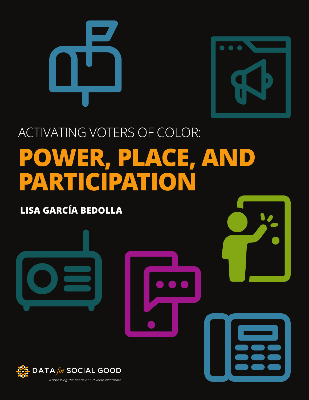



## ACTIVATING VOTERS OF COLOR: **POWER, PLACE, AND PARTICIPATION**

### **LISA GARCÍA BEDOLLA**

**DATA for SOCIAL GOOD** Addressing the needs of a diverse electorate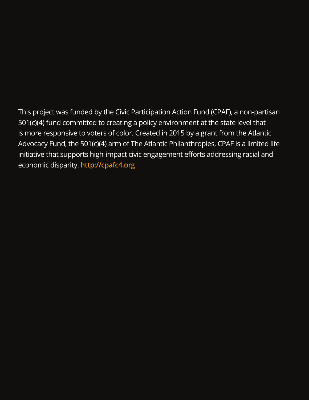This project was funded by the Civic Participation Action Fund (CPAF), a non-partisan 501(c)(4) fund committed to creating a policy environment at the state level that is more responsive to voters of color. Created in 2015 by a grant from the Atlantic Advocacy Fund, the 501(c)(4) arm of The Atlantic Philanthropies, CPAF is a limited life initiative that supports high-impact civic engagement efforts addressing racial and economic disparity. **[http://cpafc4.org](https://cpafc4.org/)**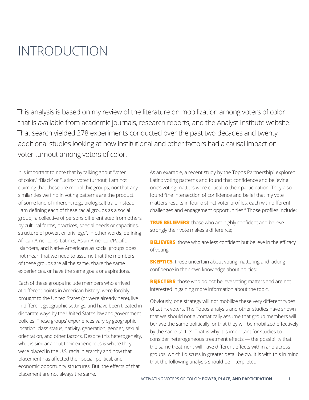### <span id="page-2-0"></span>INTRODUCTION

This analysis is based on my review of the literature on mobilization among voters of color that is available from academic journals, research reports, and the Analyst Institute website. That search yielded 278 experiments conducted over the past two decades and twenty additional studies looking at how institutional and other factors had a causal impact on voter turnout among voters of color.

It is important to note that by talking about "voter of color," "Black" or "Latinx" voter turnout, I am not claiming that these are monolithic groups, nor that any similarities we find in voting patterns are the product of some kind of inherent (e.g., biological) trait. Instead, I am defining each of these racial groups as a social group, "a collective of persons differentiated from others by cultural forms, practices, special needs or capacities, structure of power, or privilege". In other words, defining African Americans, Latinxs, Asian American/Pacific Islanders, and Native Americans as social groups does not mean that we need to assume that the members of these groups are all the same, share the same experiences, or have the same goals or aspirations.

Each of these groups include members who arrived at different points in American history, were forcibly brought to the United States (or were already here), live in different geographic settings, and have been treated in disparate ways by the United States law and government policies. These groups' experiences vary by geographic location, class status, nativity, generation, gender, sexual orientation, and other factors. Despite this heterogeneity, what is similar about their experiences is where they were placed in the U.S. racial hierarchy and how that placement has affected their social, political, and economic opportunity structures. But, the effects of that placement are not always the same.

As an example, a recent study by the Topos Partnership<sup>1</sup> explored Latinx voting patterns and found that confidence and believing one's voting matters were critical to their participation. They also found "the intersection of confidence and belief that my vote matters results in four distinct voter profiles, each with different challenges and engagement opportunities." Those profiles include:

**TRUE BELIEVERS:** those who are highly confident and believe strongly their vote makes a difference;

**BELIEVERS:** those who are less confident but believe in the efficacy of voting;

**SKEPTICS:** those uncertain about voting mattering and lacking confidence in their own knowledge about politics;

**REJECTERS**: those who do not believe voting matters and are not interested in gaining more information about the topic.

Obviously, one strategy will not mobilize these very different types of Latinx voters. The Topos analysis and other studies have shown that we should not automatically assume that group members will behave the same politically, or that they will be mobilized effectively by the same tactics. That is why it is important for studies to consider heterogeneous treatment effects — the possibility that the same treatment will have different effects within and across groups, which I discuss in greater detail below. It is with this in mind that the following analysis should be interpreted.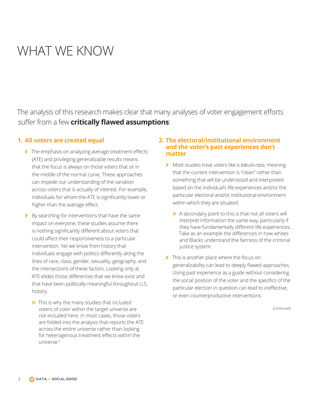### WHAT WE KNOW

The analysis of this research makes clear that many analyses of voter engagement efforts suffer from a few **critically flawed assumptions**:

#### **1. All voters are created equal**

- The emphasis on analyzing average treatment effects (ATE) and privileging generalizable results means that the focus is always on those voters that sit in the middle of the normal curve. These approaches can impede our understanding of the variation across voters that is actually of interest. For example, individuals for whom the ATE is significantly lower or higher than the average effect.
- > By searching for interventions that have the same impact on everyone, these studies assume there is nothing significantly different about voters that could affect their responsiveness to a particular intervention. Yet we know from history that individuals engage with politics differently along the lines of race, class, gender, sexuality, geography, and the intersections of these factors. Looking only at ATE elides those differences that we know exist and that have been politically meaningful throughout U.S. history.
	- $\rightarrow$  This is why the many studies that included voters of color within the target universe are not included here. In most cases, those voters are folded into the analysis that reports the ATE across the entire universe rather than looking for heterogenous treatment effects within the universe.<sup>2</sup>

#### **2. The electoral/institutional environment and the voter's past experiences don't matter**

- 7 Most studies treat voters like a *tabula rasa*, meaning that the current intervention is "clean" rather than something that will be understood and interpreted based on the individual's life experiences and/or the particular electoral and/or institutional environment within which they are situated.
	- $\rightarrow$  A secondary point to this is that not all voters will interpret information the same way, particularly if they have fundamentally different life experiences. Take as an example the differences in how whites and Blacks understand the fairness of the criminal justice system.
- > This is another place where the focus on generalizability can lead to deeply flawed approaches. Using past experience as a guide without considering the social position of the voter and the specifics of the particular election in question can lead to ineffective, or even counterproductive interventions.

(continued)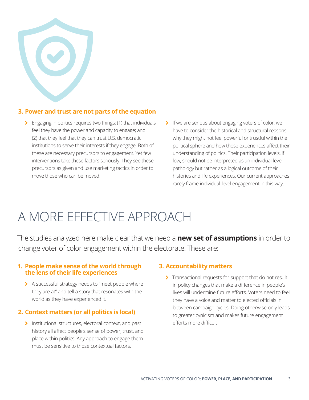

### **3. Power and trust are not parts of the equation**

- **>** Engaging in politics requires two things: (1) that individuals feel they have the power and capacity to engage; and (2) that they feel that they can trust U.S. democratic institutions to serve their interests if they engage. Both of these are necessary precursors to engagement. Yet few interventions take these factors seriously. They see these precursors as given and use marketing tactics in order to move those who can be moved.
- 7 If we are serious about engaging voters of color, we have to consider the historical and structural reasons why they might not feel powerful or trustful within the political sphere and how those experiences affect their understanding of politics. Their participation levels, if low, should not be interpreted as an individual-level pathology but rather as a logical outcome of their histories and life experiences. Our current approaches rarely frame individual-level engagement in this way.

### A MORE EFFECTIVE APPROACH

The studies analyzed here make clear that we need a **new set of assumptions** in order to change voter of color engagement within the electorate. These are:

#### **1. People make sense of the world through the lens of their life experiences**

> A successful strategy needs to "meet people where they are at" and tell a story that resonates with the world as they have experienced it.

### **2. Context matters (or all politics is local)**

> Institutional structures, electoral context, and past history all affect people's sense of power, trust, and place within politics. Any approach to engage them must be sensitive to those contextual factors.

#### **3. Accountability matters**

Transactional requests for support that do not result in policy changes that make a difference in people's lives will undermine future efforts. Voters need to feel they have a voice and matter to elected officials in between campaign cycles. Doing otherwise only leads to greater cynicism and makes future engagement efforts more difficult.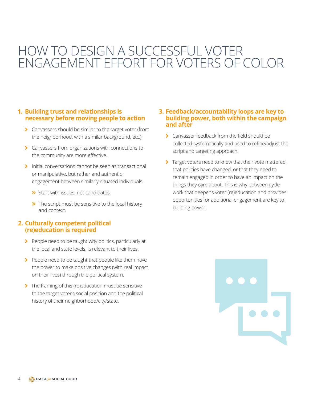### HOW TO DESIGN A SUCCESSFUL VOTER ENGAGEMENT EFFORT FOR VOTERS OF COLOR

### **1. Building trust and relationships is necessary before moving people to action**

- 7 Canvassers should be similar to the target voter (from the neighborhood, with a similar background, etc.).
- 7 Canvassers from organizations with connections to the community are more effective.
- > Initial conversations cannot be seen as transactional or manipulative, but rather and authentic engagement between similarly-situated individuals.
	- $\rightarrow$  Start with issues, not candidates.
	- $\rightarrow$  The script must be sensitive to the local history and context.

#### **2. Culturally competent political (re)education is required**

- People need to be taught why politics, particularly at the local and state levels, is relevant to their lives.
- People need to be taught that people like them have the power to make positive changes (with real impact on their lives) through the political system.
- The framing of this (re)education must be sensitive to the target voter's social position and the political history of their neighborhood/city/state.

#### **3. Feedback/accountability loops are key to building power, both within the campaign and after**

- > Canvasser feedback from the field should be collected systematically and used to refine/adjust the script and targeting approach.
- Target voters need to know that their vote mattered, that policies have changed, or that they need to remain engaged in order to have an impact on the things they care about. This is why between-cycle work that deepens voter (re)education and provides opportunities for additional engagement are key to building power.

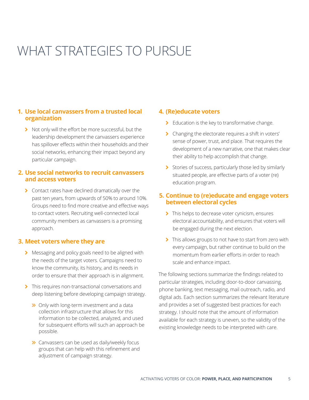## WHAT STRATEGIES TO PURSUE

### **1. Use local canvassers from a trusted local organization**

7 Not only will the effort be more successful, but the leadership development the canvassers experience has spillover effects within their households and their social networks, enhancing their impact beyond any particular campaign.

#### **2. Use social networks to recruit canvassers and access voters**

> Contact rates have declined dramatically over the past ten years, from upwards of 50% to around 10%. Groups need to find more creative and effective ways to contact voters. Recruiting well-connected local community members as canvassers is a promising approach.

### **3. Meet voters where they are**

- > Messaging and policy goals need to be aligned with the needs of the target voters. Campaigns need to know the community, its history, and its needs in order to ensure that their approach is in alignment.
- > This requires non-transactional conversations and deep listening before developing campaign strategy.
	- $\rightarrow$  Only with long-term investment and a data collection infrastructure that allows for this information to be collected, analyzed, and used for subsequent efforts will such an approach be possible.
	- **>>** Canvassers can be used as daily/weekly focus groups that can help with this refinement and adjustment of campaign strategy.

#### **4. (Re)educate voters**

- $\blacktriangleright$  Education is the key to transformative change.
- > Changing the electorate requires a shift in voters' sense of power, trust, and place. That requires the development of a new narrative, one that makes clear their ability to help accomplish that change.
- > Stories of success, particularly those led by similarly situated people, are effective parts of a voter (re) education program.

### **5. Continue to (re)educate and engage voters between electoral cycles**

- > This helps to decrease voter cynicism, ensures electoral accountability, and ensures that voters will be engaged during the next election.
- > This allows groups to not have to start from zero with every campaign, but rather continue to build on the momentum from earlier efforts in order to reach scale and enhance impact.

The following sections summarize the findings related to particular strategies, including door-to-door canvassing, phone banking, text messaging, mail outreach, radio, and digital ads. Each section summarizes the relevant literature and provides a set of suggested best practices for each strategy. I should note that the amount of information available for each strategy is uneven, so the validity of the existing knowledge needs to be interpreted with care.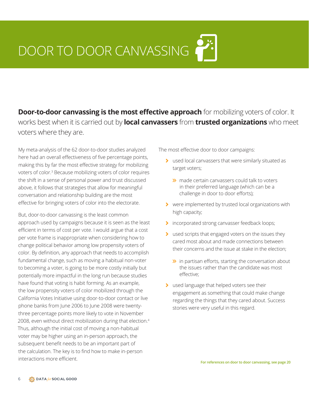## <span id="page-7-0"></span>DOOR TO DOOR CANVASSING

**Door-to-door canvassing is the most effective approach** for mobilizing voters of color. It works best when it is carried out by **local canvassers** from **trusted organizations** who meet voters where they are.

My meta-analysis of the 62 door-to-door studies analyzed here had an overall effectiveness of five percentage points, making this by far the most effective strategy for mobilizing voters of color.[3](#page-20-0) Because mobilizing voters of color requires the shift in a sense of personal power and trust discussed above, it follows that strategies that allow for meaningful conversation and relationship building are the most effective for bringing voters of color into the electorate.

But, door-to-door canvassing is the least common approach used by campaigns because it is seen as the least efficient in terms of cost per vote. I would argue that a cost per vote frame is inappropriate when considering how to change political behavior among low propensity voters of color. By definition, any approach that needs to accomplish fundamental change, such as moving a habitual non-voter to becoming a voter, is going to be more costly initially but potentially more impactful in the long run because studies have found that voting is habit forming. As an example, the low propensity voters of color mobilized through the California Votes Initiative using door-to-door contact or live phone banks from June 2006 to June 2008 were twentythree percentage points more likely to vote in November 2008, even without direct mobilization during that election.<sup>[4](#page-20-0)</sup> Thus, although the initial cost of moving a non-habitual voter may be higher using an in-person approach, the subsequent benefit needs to be an important part of the calculation. The key is to find how to make in-person interactions more efficient.

The most effective door to door campaigns:

- 7 used local canvassers that were similarly situated as target voters;
	- $\gg$  made certain canvassers could talk to voters in their preferred language (which can be a challenge in door to door efforts);
- 7 were implemented by trusted local organizations with high capacity;
- > incorporated strong canvasser feedback loops;
- > used scripts that engaged voters on the issues they cared most about and made connections between their concerns and the issue at stake in the election;
	- $\rightarrow$  in partisan efforts, starting the conversation about the issues rather than the candidate was most effective;
- > used language that helped voters see their engagement as something that could make change regarding the things that they cared about. Success stories were very useful in this regard.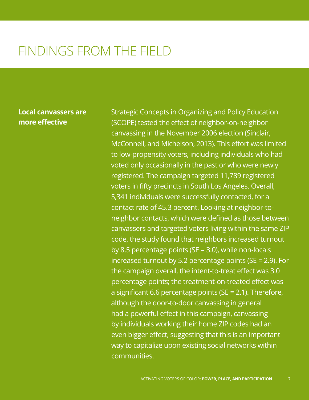### **Local canvassers are more effective**

Strategic Concepts in Organizing and Policy Education (SCOPE) tested the effect of neighbor-on-neighbor canvassing in the November 2006 election (Sinclair, McConnell, and Michelson, 2013). This effort was limited to low-propensity voters, including individuals who had voted only occasionally in the past or who were newly registered. The campaign targeted 11,789 registered voters in fifty precincts in South Los Angeles. Overall, 5,341 individuals were successfully contacted, for a contact rate of 45.3 percent. Looking at neighbor-toneighbor contacts, which were defined as those between canvassers and targeted voters living within the same ZIP code, the study found that neighbors increased turnout by 8.5 percentage points ( $SE = 3.0$ ), while non-locals increased turnout by 5.2 percentage points (SE = 2.9). For the campaign overall, the intent-to-treat effect was 3.0 percentage points; the treatment-on-treated effect was a significant 6.6 percentage points (SE = 2.1). Therefore, although the door-to-door canvassing in general had a powerful effect in this campaign, canvassing by individuals working their home ZIP codes had an even bigger effect, suggesting that this is an important way to capitalize upon existing social networks within communities.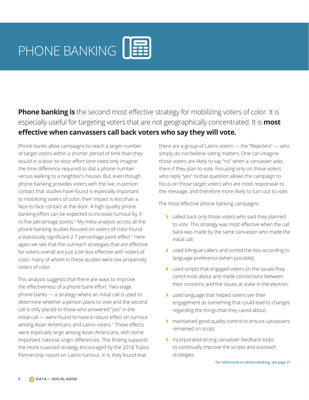<span id="page-9-0"></span>**Phone banking is** the second most effective strategy for mobilizing voters of color. It is especially useful for targeting voters that are not geographically concentrated. It is **most effective when canvassers call back voters who say they will vote.**

Phone banks allow campaigns to reach a larger number of target voters within a shorter period of time than they would in a door-to-door effort (one need only imagine the time difference required to dial a phone number versus walking to a neighbor's house). But, even though phone banking provides voters with the live, in-person contact that studies have found is especially important to mobilizing voters of color, their impact is less than a face-to-face contact at the door. A high-quality phone banking effort can be expected to increase turnout by 3 to five percentage points.<sup>[5](#page-20-0)</sup> My meta-analysis across all the phone banking studies focused on voters of color found a statistically significant 2.7 percentage point effect.[6](#page-20-0) Here again we see that the outreach strategies that are effective for voters overall are just a bit less effective with voters of color, many of whom in these studies were low propensity voters of color.

This analysis suggests that there are ways to improve the effectiveness of a phone bank effort. Two-stage phone banks — a strategy where an initial call is used to determine whether a person plans to vote and the second call is only placed to those who answered "yes" in the initial call — were found to have a robust effect on turnout among Asian Americans and Latinx voters.[7](#page-20-0) These effects were especially large among Asian Americans, with some important national origin differences. This finding supports the more nuanced strategy encouraged by the 2018 Topos Partnership report on Latinx turnout. In it, they found that

there are a group of Latinx voters — the "Rejecters" — who simply do not believe voting matters. One can imagine those voters are likely to say "no" when a canvasser asks them if they plan to vote. Focusing only on those voters who reply "yes" to that question allows the campaign to focus on those target voters who are most responsive to the message, and therefore more likely to turn out to vote.

The most effective phone banking campaigns:

- > called back only those voters who said they planned to vote. This strategy was most effective when the call back was made by the same canvasser who made the initial call;
- 7 used bilingual callers and sorted the lists according to language preference (when possible);
- to used scripts that engaged voters on the issues they cared most about and made connections between their concerns and the issues at stake in the election;
- > used language that helped voters see their engagement as something that could lead to changes regarding the things that they cared about;
- > maintained good quality control to ensure canvassers remained on script;
- 7 incorporated strong canvasser feedback loops to continually improve the scripts and outreach strategies.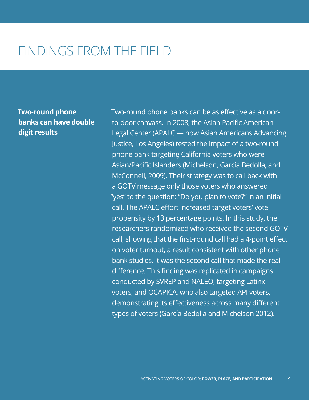**Two-round phone banks can have double digit results**

Two-round phone banks can be as effective as a doorto-door canvass. In 2008, the Asian Pacific American Legal Center (APALC — now Asian Americans Advancing Justice, Los Angeles) tested the impact of a two-round phone bank targeting California voters who were Asian/Pacific Islanders (Michelson, García Bedolla, and McConnell, 2009). Their strategy was to call back with a GOTV message only those voters who answered "yes" to the question: "Do you plan to vote?" in an initial call. The APALC effort increased target voters' vote propensity by 13 percentage points. In this study, the researchers randomized who received the second GOTV call, showing that the first-round call had a 4-point effect on voter turnout, a result consistent with other phone bank studies. It was the second call that made the real difference. This finding was replicated in campaigns conducted by SVREP and NALEO, targeting Latinx voters, and OCAPICA, who also targeted API voters, demonstrating its effectiveness across many different types of voters (García Bedolla and Michelson 2012).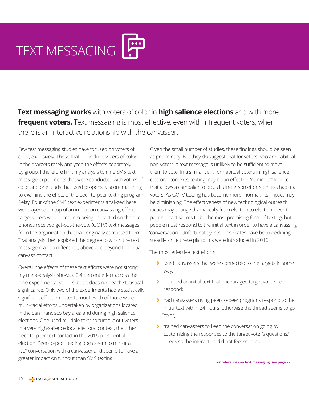# TEXT MESSAGING

**Text messaging works** with voters of color in **high salience elections** and with more **frequent voters.** Text messaging is most effective, even with infrequent voters, when there is an interactive relationship with the canvasser.

Few test messaging studies have focused on voters of color, exclusively. Those that did include voters of color in their targets rarely analyzed the effects separately by group. I therefore limit my analysis to nine SMS text message experiments that were conducted with voters of color and one study that used propensity score matching to examine the effect of the peer-to-peer texting program Relay. Four of the SMS text experiments analyzed here were layered on top of an in-person canvassing effort; target voters who opted into being contacted on their cell phones received get-out-the-vote (GOTV) text messages from the organization that had originally contacted them. That analysis then explored the degree to which the text message made a difference, above and beyond the initial canvass contact.

Overall, the effects of these text efforts were not strong; my meta-analysis shows a 0.4 percent effect across the nine experimental studies, but it does not reach statistical significance. Only two of the experiments had a statistically significant effect on voter turnout. Both of those were multi-racial efforts undertaken by organizations located in the San Francisco bay area and during high salience elections. One used multiple texts to turnout out voters in a very high-salience local electoral context, the other peer-to-peer text contact in the 2016 presidential election. Peer-to-peer texting does seem to mirror a "live" conversation with a canvasser and seems to have a greater impact on turnout than SMS texting.

Given the small number of studies, these findings should be seen as preliminary. But they do suggest that for voters who are habitual non-voters, a text message is unlikely to be sufficient to move them to vote. In a similar vein, for habitual voters in high salience electoral contexts, texting may be an effective "reminder" to vote that allows a campaign to focus its in-person efforts on less habitual voters. As GOTV texting has become more "normal," its impact may be diminishing. The effectiveness of new technological outreach tactics may change dramatically from election to election. Peer-topeer contact seems to be the most promising form of texting, but people must respond to the initial text in order to have a canvassing "conversation". Unfortunately, response rates have been declining steadily since these platforms were introduced in 2016.

The most effective text efforts:

- to used canvassers that were connected to the targets in some way:
- > included an initial text that encouraged target voters to respond;
- > had canvassers using peer-to-peer programs respond to the initial text within 24 hours (otherwise the thread seems to go "cold");
- > trained canvassers to keep the conversation going by customizing the responses to the target voter's questions/ needs so the interaction did not feel scripted.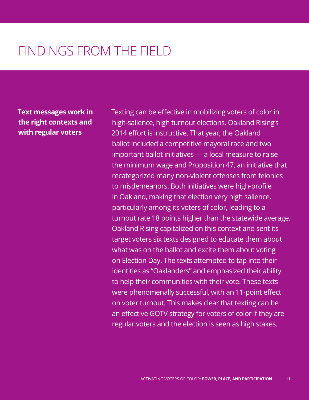**Text messages work in the right contexts and with regular voters**

Texting can be effective in mobilizing voters of color in high-salience, high turnout elections. Oakland Rising's 2014 effort is instructive. That year, the Oakland ballot included a competitive mayoral race and two important ballot initiatives — a local measure to raise the minimum wage and Proposition 47, an initiative that recategorized many non-violent offenses from felonies to misdemeanors. Both initiatives were high-profile in Oakland, making that election very high salience, particularly among its voters of color, leading to a turnout rate 18 points higher than the statewide average. Oakland Rising capitalized on this context and sent its target voters six texts designed to educate them about what was on the ballot and excite them about voting on Election Day. The texts attempted to tap into their identities as "Oaklanders" and emphasized their ability to help their communities with their vote. These texts were phenomenally successful, with an 11-point effect on voter turnout. This makes clear that texting can be an effective GOTV strategy for voters of color if they are regular voters and the election is seen as high stakes.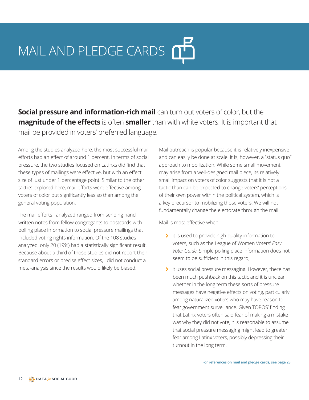## MAIL AND PLEDGE CARDS

**Social pressure and information-rich mail** can turn out voters of color, but the **magnitude of the effects** is often **smaller** than with white voters. It is important that mail be provided in voters' preferred language.

Among the studies analyzed here, the most successful mail efforts had an effect of around 1 percent. In terms of social pressure, the two studies focused on Latinxs did find that these types of mailings were effective, but with an effect size of just under 1 percentage point. Similar to the other tactics explored here, mail efforts were effective among voters of color but significantly less so than among the general voting population.

The mail efforts I analyzed ranged from sending hand written notes from fellow congregants to postcards with polling place information to social pressure mailings that included voting rights information. Of the 108 studies analyzed, only 20 (19%) had a statistically significant result. Because about a third of those studies did not report their standard errors or precise effect sizes, I did not conduct a meta-analysis since the results would likely be biased.

Mail outreach is popular because it is relatively inexpensive and can easily be done at scale. It is, however, a "status quo" approach to mobilization. While some small movement may arise from a well-designed mail piece, its relatively small impact on voters of color suggests that it is not a tactic than can be expected to change voters' perceptions of their own power within the political system, which is a key precursor to mobilizing those voters. We will not fundamentally change the electorate through the mail.

Mail is most effective when:

- ti is used to provide high-quality information to voters, such as the League of Women Voters' *Easy Voter Guide*. Simple polling place information does not seem to be sufficient in this regard;
- 7 it uses social pressure messaging. However, there has been much pushback on this tactic and it is unclear whether in the long term these sorts of pressure messages have negative effects on voting, particularly among naturalized voters who may have reason to fear government surveillance. Given TOPOS' finding that Latinx voters often said fear of making a mistake was why they did not vote, it is reasonable to assume that social pressure messaging might lead to greater fear among Latinx voters, possibly depressing their turnout in the long term.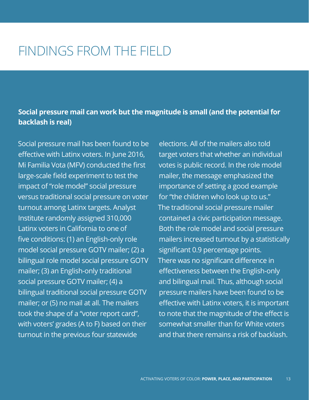### **Social pressure mail can work but the magnitude is small (and the potential for backlash is real)**

Social pressure mail has been found to be effective with Latinx voters. In June 2016, Mi Familia Vota (MFV) conducted the first large-scale field experiment to test the impact of "role model" social pressure versus traditional social pressure on voter turnout among Latinx targets. Analyst Institute randomly assigned 310,000 Latinx voters in California to one of five conditions: (1) an English-only role model social pressure GOTV mailer; (2) a bilingual role model social pressure GOTV mailer; (3) an English-only traditional social pressure GOTV mailer; (4) a bilingual traditional social pressure GOTV mailer; or (5) no mail at all. The mailers took the shape of a "voter report card", with voters' grades (A to F) based on their turnout in the previous four statewide

elections. All of the mailers also told target voters that whether an individual votes is public record. In the role model mailer, the message emphasized the importance of setting a good example for "the children who look up to us." The traditional social pressure mailer contained a civic participation message. Both the role model and social pressure mailers increased turnout by a statistically significant 0.9 percentage points. There was no significant difference in effectiveness between the English-only and bilingual mail. Thus, although social pressure mailers have been found to be effective with Latinx voters, it is important to note that the magnitude of the effect is somewhat smaller than for White voters and that there remains a risk of backlash.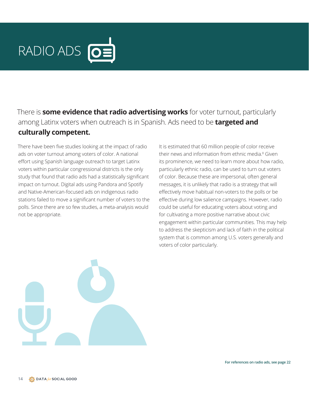<span id="page-15-0"></span>

There is **some evidence that radio advertising works** for voter turnout, particularly among Latinx voters when outreach is in Spanish. Ads need to be **targeted and culturally competent.**

There have been five studies looking at the impact of radio ads on voter turnout among voters of color. A national effort using Spanish language outreach to target Latinx voters within particular congressional districts is the only study that found that radio ads had a statistically significant impact on turnout. Digital ads using Pandora and Spotify and Native-American-focused ads on indigenous radio stations failed to move a significant number of voters to the polls. Since there are so few studies, a meta-analysis would not be appropriate.

It is estimated that 60 million people of color receive their news and information from ethnic media.<sup>[8](#page-20-0)</sup> Given its prominence, we need to learn more about how radio, particularly ethnic radio, can be used to turn out voters of color. Because these are impersonal, often general messages, it is unlikely that radio is a strategy that will effectively move habitual non-voters to the polls or be effective during low salience campaigns. However, radio could be useful for educating voters about voting and for cultivating a more positive narrative about civic engagement within particular communities. This may help to address the skepticism and lack of faith in the political system that is common among U.S. voters generally and voters of color particularly.

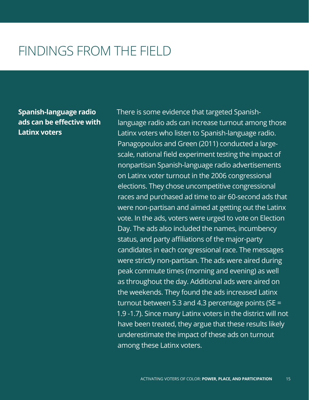**Spanish-language radio ads can be effective with Latinx voters**

There is some evidence that targeted Spanishlanguage radio ads can increase turnout among those Latinx voters who listen to Spanish-language radio. Panagopoulos and Green (2011) conducted a largescale, national field experiment testing the impact of nonpartisan Spanish-language radio advertisements on Latinx voter turnout in the 2006 congressional elections. They chose uncompetitive congressional races and purchased ad time to air 60-second ads that were non-partisan and aimed at getting out the Latinx vote. In the ads, voters were urged to vote on Election Day. The ads also included the names, incumbency status, and party affiliations of the major-party candidates in each congressional race. The messages were strictly non-partisan. The ads were aired during peak commute times (morning and evening) as well as throughout the day. Additional ads were aired on the weekends. They found the ads increased Latinx turnout between 5.3 and 4.3 percentage points ( $SE =$ 1.9 -1.7). Since many Latinx voters in the district will not have been treated, they argue that these results likely underestimate the impact of these ads on turnout among these Latinx voters.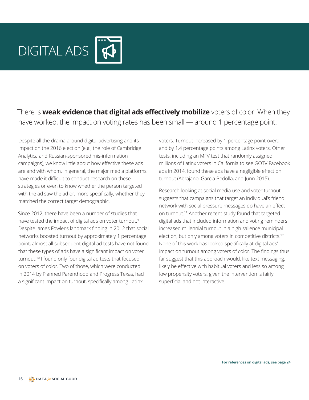<span id="page-17-0"></span>

There is **weak evidence that digital ads effectively mobilize** voters of color. When they have worked, the impact on voting rates has been small — around 1 percentage point.

Despite all the drama around digital advertising and its impact on the 2016 election (e.g., the role of Cambridge Analytica and Russian-sponsored mis-information campaigns), we know little about how effective these ads are and with whom. In general, the major media platforms have made it difficult to conduct research on these strategies or even to know whether the person targeted with the ad saw the ad or, more specifically, whether they matched the correct target demographic.

Since 2012, there have been a number of studies that have tested the impact of digital ads on voter turnout.<sup>[9](#page-20-0)</sup> Despite James Fowler's landmark finding in 2012 that social networks boosted turnout by approximately 1 percentage point, almost all subsequent digital ad tests have not found that these types of ads have a significant impact on voter turnout[.10](#page-20-0) I found only four digital ad tests that focused on voters of color. Two of those, which were conducted in 2014 by Planned Parenthood and Progress Texas, had a significant impact on turnout, specifically among Latinx

voters. Turnout increased by 1 percentage point overall and by 1.4 percentage points among Latinx voters. Other tests, including an MFV test that randomly assigned millions of Latinx voters in California to see GOTV Facebook ads in 2014, found these ads have a negligible effect on turnout (Abrajano, Garcia Bedolla, and Junn 2015).

Research looking at social media use and voter turnout suggests that campaigns that target an individual's friend network with social pressure messages do have an effect on turnout[.11](#page-20-0) Another recent study found that targeted digital ads that included information and voting reminders increased millennial turnout in a high salience municipal election, but only among voters in competitive districts.12 None of this work has looked specifically at digital ads' impact on turnout among voters of color. The findings thus far suggest that this approach would, like text messaging, likely be effective with habitual voters and less so among low propensity voters, given the intervention is fairly superficial and not interactive.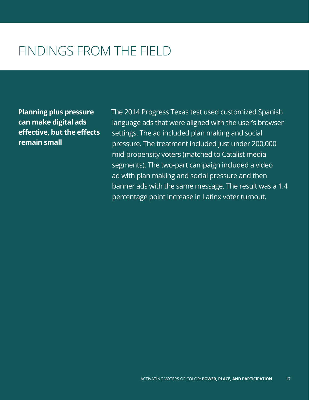**Planning plus pressure can make digital ads effective, but the effects remain small**

The 2014 Progress Texas test used customized Spanish language ads that were aligned with the user's browser settings. The ad included plan making and social pressure. The treatment included just under 200,000 mid-propensity voters (matched to Catalist media segments). The two-part campaign included a video ad with plan making and social pressure and then banner ads with the same message. The result was a 1.4 percentage point increase in Latinx voter turnout.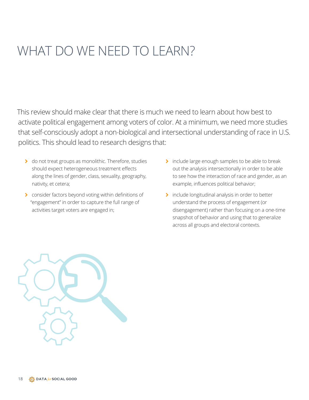### WHAT DO WE NEED TO LEARN?

This review should make clear that there is much we need to learn about how best to activate political engagement among voters of color. At a minimum, we need more studies that self-consciously adopt a non-biological and intersectional understanding of race in U.S. politics. This should lead to research designs that:

- > do not treat groups as monolithic. Therefore, studies should expect heterogeneous treatment effects along the lines of gender, class, sexuality, geography, nativity, et cetera;
- > consider factors beyond voting within definitions of "engagement" in order to capture the full range of activities target voters are engaged in;
- > include large enough samples to be able to break out the analysis intersectionally in order to be able to see how the interaction of race and gender, as an example, influences political behavior;
- > include longitudinal analysis in order to better understand the process of engagement (or disengagement) rather than focusing on a one-time snapshot of behavior and using that to generalize across all groups and electoral contexts.

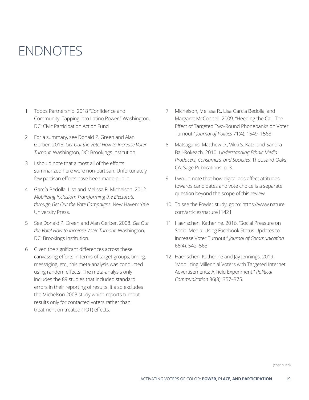### <span id="page-20-0"></span>ENDNOTES

- [1](#page-2-0) Topos Partnership. 2018 "Confidence and Community: Tapping into Latino Power." Washington, DC: Civic Participation Action Fund
- 2 For a summary, see Donald P. Green and Alan Gerber. 2015. *Get Out the Vote! How to Increase Voter Turnout.* Washington, DC: Brookings Institution.
- [3](#page-7-0) I should note that almost all of the efforts summarized here were non-partisan. Unfortunately few partisan efforts have been made public.
- 4 García Bedolla, Lisa and Melissa R. Michelson. 2012. *Mobilizing Inclusion: Transforming the Electorate through Get Out the Vote Campaigns.* New Haven: Yale University Press.
- [5](#page-9-0) See Donald P. Green and Alan Gerber. 2008. *Get Out the Vote! How to Increase Voter Turnout.* Washington, DC: Brookings Institution.
- [6](#page-9-0) Given the significant differences across these canvassing efforts in terms of target groups, timing, messaging, etc., this meta-analysis was conducted using random effects. The meta-analysis only includes the 89 studies that included standard errors in their reporting of results. It also excludes the Michelson 2003 study which reports turnout results only for contacted voters rather than treatment on treated (TOT) effects.
- 7 [Mi](#page-9-0)chelson, Melissa R., Lisa García Bedolla, and Margaret McConnell. 2009. "Heeding the Call: The Effect of Targeted Two-Round Phonebanks on Voter Turnout." *Journal of Politics* 71(4): 1549–1563.
- [8](#page-15-0) Matsaganis, Matthew D., Vikki S. Katz, and Sandra Ball-Rokeach. 2010. *Understanding Ethnic Media: Producers, Consumers, and Societies.* Thousand Oaks, CA: Sage Publications, p. 3.
- [9](#page-17-0) I would note that how digital ads affect attitudes towards candidates and vote choice is a separate question beyond the scope of this review.
- [1](#page-17-0)0 To see the Fowler study, go to: [https://www.nature.](https://www.nature.com/articles/nature11421) [com/articles/nature11421](https://www.nature.com/articles/nature11421)
- [1](#page-17-0)1 Haenschen, Katherine. 2016. "[Social Pressure on](https://doi.org/10.1111/jcom.12236)  [Social Media: Using Facebook Status Updates to](https://doi.org/10.1111/jcom.12236)  [Increase Voter Turnout.](https://doi.org/10.1111/jcom.12236)" *Journal of Communication* 66(4): 542–563.
- 12 Haenschen, Katherine and Jay Jennings. 2019. "Mobilizing Millennial Voters with Targeted Internet Advertisements: A Field Experiment." *Political Communication* 36(3): 357–375.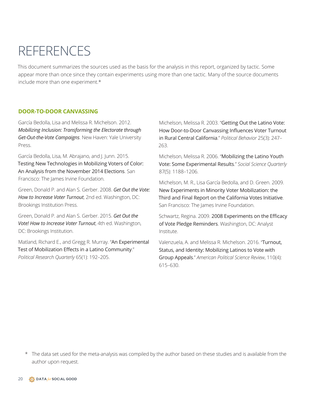### <span id="page-21-0"></span>REFERENCES

This document summarizes the sources used as the basis for the analysis in this report, organized by tactic. Some appear more than once since they contain experiments using more than one tactic. Many of the source documents include more than one experiment.\*

#### **DOOR-TO-DOOR CANVASSING**

García Bedolla, Lisa and Melissa R. Michelson. 2012[.](https://yalebooks.yale.edu/book/9780300166781/mobilizing-inclusion) *[Mobilizing Inclusion: Transforming the Electorate through](https://yalebooks.yale.edu/book/9780300166781/mobilizing-inclusion)  [Get-Out-the-Vote Campaigns](https://yalebooks.yale.edu/book/9780300166781/mobilizing-inclusion)*. New Haven: Yale University Press.

García Bedolla, Lisa, M. Abrajano, and J. Junn. 2015. [Testing New Technologies in Mobilizing Voters of Color:](https://irvine-dot-org.s3.amazonaws.com/documents/193/attachments/focus-VOTE-2016MAR14.pdf?1461970269)  [An Analysis from the November 2014 Elections](https://irvine-dot-org.s3.amazonaws.com/documents/193/attachments/focus-VOTE-2016MAR14.pdf?1461970269). San Francisco: The James Irvine Foundation.

Green, Donald P. and Alan S. Gerber. 2008. *Get Out the Vote: How to Increase Voter Turnout*, 2nd ed. Washington, DC: Brookings Institution Press.

Green, Donald P. and Alan S. Gerber. 2015. *Get Out the Vote! How to Increase Voter Turnout*, 4th ed. Washington, DC: Brookings Institution.

Matland, Richard E., and Gregg R. Murray. "[An Experimental](https://doi.org/10.1177/1065912910388192)  [Test of Mobilization Effects in a Latino Community](https://doi.org/10.1177/1065912910388192)." *Political Research Quarterly* 65(1): 192–205.

Michelson, Melissa R. 2003. "[Getting Out the Latino Vote:](https://doi.org/10.1023/A:1025167607369)  [How Door-to-Door Canvassing Influences Voter Turnout](https://doi.org/10.1023/A:1025167607369)  [in Rural Central California](https://doi.org/10.1023/A:1025167607369)." *Political Behavior* 25(3): 247– 263.

Michelson, Melissa R. 2006. "[Mobilizing the Latino Youth](https://doi.org/10.1023/A:1025167607369)  [Vote: Some Experimental Results](https://doi.org/10.1023/A:1025167607369)." *Social Science Quarterly* 87(5): 1188–1206.

Michelson, M. R., Lisa García Bedolla, and D. Green. 2009. [New Experiments in Minority Voter Mobilization: the](https://irvine-dot-org.s3.amazonaws.com/documents/119/attachments/cavotesreportfinal.pdf?1416805439)  [Third and Final Report on the California Votes Initiative](https://irvine-dot-org.s3.amazonaws.com/documents/119/attachments/cavotesreportfinal.pdf?1416805439). San Francisco: The James Irvine Foundation.

Schwartz, Regina. 2009. [2008 Experiments on the Efficacy](https://members.analystinstitute.org/research/2008-experiments-on-the-efficacy-of-vote-pledge-reminders-338)  [of Vote Pledge Reminders](https://members.analystinstitute.org/research/2008-experiments-on-the-efficacy-of-vote-pledge-reminders-338). Washington, DC: Analyst Institute.

Valenzuela, A. and Melissa R. Michelson. 2016. "[Turnout,](https://doi.org/10.1017/S000305541600040X)  [Status, and Identity: Mobilizing Latinos to Vote with](https://doi.org/10.1017/S000305541600040X)  [Group Appeals](https://doi.org/10.1017/S000305541600040X)." *American Political Science Review*, 110(4): 615–630.

\* The data set used for the meta-analysis was compiled by the author based on these studies and is available from the author upon request.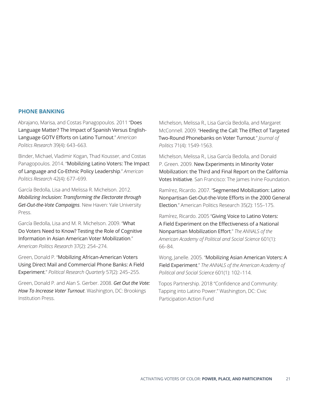#### <span id="page-22-0"></span>**PHONE BANKING**

Abrajano, Marisa, and Costas Panagopoulos. 2011 "[Does](https://journals.sagepub.com/doi/10.1177/1532673X10397000)  [Language Matter? The Impact of Spanish Versus English-](https://journals.sagepub.com/doi/10.1177/1532673X10397000)[Language GOTV Efforts on Latino Turnout](https://journals.sagepub.com/doi/10.1177/1532673X10397000)." *American Politics Research* 39(4): 643–663.

Binder, Michael, Vladimir Kogan, Thad Kousser, and Costas Panagopoulos. 2014. "[Mobilizing Latino Voters: The Impact](https://journals.sagepub.com/doi/10.1177/1532673X13502848)  [of Language and Co-Ethnic Policy Leadership](https://journals.sagepub.com/doi/10.1177/1532673X13502848)." *American Politics Research* 42(4): 677–699.

García Bedolla, Lisa and Melissa R. Michelson. 2012[.](https://yalebooks.yale.edu/book/9780300166781/mobilizing-inclusion) *[Mobilizing Inclusion: Transforming the Electorate through](https://yalebooks.yale.edu/book/9780300166781/mobilizing-inclusion)  [Get-Out-the-Vote Campaigns](https://yalebooks.yale.edu/book/9780300166781/mobilizing-inclusion)*. New Haven: Yale University Press.

García Bedolla, Lisa and M. R. Michelson. 2009. "[What](https://journals.sagepub.com/doi/10.1177/1532673X08320844)  [Do Voters Need to Know? Testing the Role of Cognitive](https://journals.sagepub.com/doi/10.1177/1532673X08320844)  [Information in Asian American Voter Mobilization](https://journals.sagepub.com/doi/10.1177/1532673X08320844)." *American Politics Research* 37(2): 254–274.

Green, Donald P. "[Mobilizing African-American Voters](https://journals.sagepub.com/doi/10.1177/106591290405700206)  [Using Direct Mail and Commercial Phone Banks: A Field](https://journals.sagepub.com/doi/10.1177/106591290405700206)  [Experiment](https://journals.sagepub.com/doi/10.1177/106591290405700206)." *Political Research Quarterly* 57(2): 245–255.

Green, Donald P. and Alan S. Gerber. 2008. *[Get Out the Vote:](https://www.brookings.edu/book/get-out-the-vote-2/) [How To Increase Voter Turnout](https://www.brookings.edu/book/get-out-the-vote-2/)*. Washington, DC: Brookings Institution Press.

Michelson, Melissa R., Lisa García Bedolla, and Margaret McConnell. 2009. "[Heeding the Call: The Effect of Targeted](https://www.journals.uchicago.edu/doi/abs/10.1017/S0022381609990119)  [Two-Round Phonebanks on Voter Turnout](https://www.journals.uchicago.edu/doi/abs/10.1017/S0022381609990119)." *Journal of Politics* 71(4): 1549-1563.

Michelson, Melissa R., Lisa García Bedolla, and Donald P. Green. 2009. [New Experiments in Minority Voter](https://irvine-dot-org.s3.amazonaws.com/documents/119/attachments/cavotesreportfinal.pdf?1416805439)  [Mobilization: the Third and Final Report on the California](https://irvine-dot-org.s3.amazonaws.com/documents/119/attachments/cavotesreportfinal.pdf?1416805439)  [Votes Initiative](https://irvine-dot-org.s3.amazonaws.com/documents/119/attachments/cavotesreportfinal.pdf?1416805439). San Francisco: The James Irvine Foundation.

Ramírez, Ricardo. 2007. "[Segmented Mobilization: Latino](https://doi.org/10.1177/1532673X06296578)  [Nonpartisan Get-Out-the-Vote Efforts in the 2000 General](https://doi.org/10.1177/1532673X06296578)  [Election](https://doi.org/10.1177/1532673X06296578)." American Politics Research 35(2): 155–175.

Ramírez, Ricardo. 2005 "[Giving Voice to Latino Voters:](https://journals.sagepub.com/doi/10.1177/0002716205278422)  [A Field Experiment on the Effectiveness of a National](https://journals.sagepub.com/doi/10.1177/0002716205278422)  [Nonpartisan Mobilization Effort](https://journals.sagepub.com/doi/10.1177/0002716205278422)." *The ANNALS of the American Academy of Political and Social Science* 601(1): 66–84.

Wong, Janelle. 2005. "[Mobilizing Asian American Voters: A](https://journals.sagepub.com/doi/10.1177/0002716205278450)  [Field Experiment](https://journals.sagepub.com/doi/10.1177/0002716205278450)." *The ANNALS of the American Academy of Political and Social Science* 601(1): 102–114.

Topos Partnership. 2018 "Confidence and Community: Tapping into Latino Power." Washington, DC: Civic Participation Action Fund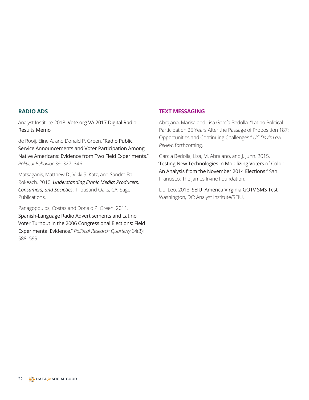#### <span id="page-23-0"></span>**RADIO ADS**

Analyst Institute 2018. [Vote.org VA 2017 Digital Radio](https://members.analystinstitute.org/research/vote-org-va-2017-digital-radio-results-memo-10182)  [Results Memo](https://members.analystinstitute.org/research/vote-org-va-2017-digital-radio-results-memo-10182)

de Rooij, Eline A. and Donald P. Green, "[Radio Public](https://link.springer.com/article/10.1007/s11109-016-9358-4)  [Service Announcements and Voter Participation Among](https://link.springer.com/article/10.1007/s11109-016-9358-4)  [Native Americans: Evidence from Two Field Experiments](https://link.springer.com/article/10.1007/s11109-016-9358-4)." *Political Behavior* 39: 327–346

Matsaganis, Matthew D., Vikki S. Katz, and Sandra Ball-Rokeach. 2010. *[Understanding Ethnic Media: Producers,](https://us.sagepub.com/en-us/nam/understanding-ethnic-media/book232058)  [Consumers, and Societies](https://us.sagepub.com/en-us/nam/understanding-ethnic-media/book232058)*. Thousand Oaks, CA: Sage Publications.

Panagopoulos, Costas and Donald P. Green. 2011. "[Spanish-Language Radio Advertisements and Latino](https://doi.org/10.1177/1065912910367494)  [Voter Turnout in the 2006 Congressional Elections: Field](https://doi.org/10.1177/1065912910367494)  [Experimental Evidence](https://doi.org/10.1177/1065912910367494)." *Political Research Quarterly* 64(3): 588–599.

#### **TEXT MESSAGING**

Abrajano, Marisa and Lisa García Bedolla. "Latino Political Participation 25 Years After the Passage of Proposition 187: Opportunities and Continuing Challenges." *UC Davis Law Review*, forthcoming.

García Bedolla, Lisa, M. Abrajano, and J. Junn. 2015. "[Testing New Technologies in Mobilizing Voters of Color:](https://irvine-dot-org.s3.amazonaws.com/documents/193/attachments/focus-VOTE-2016MAR14.pdf?1461970269)  [An Analysis from the November 2014 Elections](https://irvine-dot-org.s3.amazonaws.com/documents/193/attachments/focus-VOTE-2016MAR14.pdf?1461970269)." San Francisco: The James Irvine Foundation.

Liu, Leo. 2018. [SEIU iAmerica Virginia GOTV SMS Test](https://members.analystinstitute.org/research/seiu-iamerica-virginia-gotv-sms-test-10022), Washington, DC: Analyst Institute/SEIU.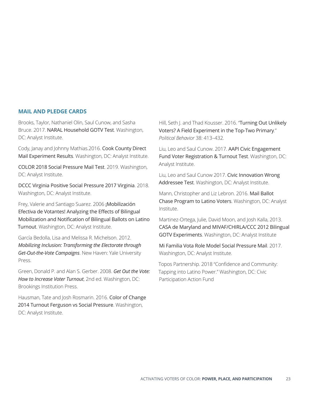#### <span id="page-24-0"></span>**MAIL AND PLEDGE CARDS**

Brooks, Taylor, Nathaniel Olin, Saul Cunow, and Sasha Bruce. 2017. [NARAL Household GOTV Test](https://members.analystinstitute.org/research/naral-household-gotv-test-9168). Washington, DC: Analyst Institute.

Cody, Janay and Johnny Mathias.2016. [Cook County Direct](https://members.analystinstitute.org/research/new-results-webinar-cook-county-direct-mail-experiment-results-8291)  [Mail Experiment Results](https://members.analystinstitute.org/research/new-results-webinar-cook-county-direct-mail-experiment-results-8291). Washington, DC: Analyst Institute.

[COLOR 2018 Social Pressure Mail Test](https://members.analystinstitute.org/research/color-2018-social-pressure-mail-test-10866). 2019. Washington, DC: Analyst Institute.

[DCCC Virginia Positive Social Pressure 2017 Virginia](file:///Users/LisasDocs/Documents/Consulting/AMPRI/CPAF%20Book%20Project/New%20Version/DCCC%20Virginia%20Positive%20Social%20Pressure%202017%20Virginia). 2018. Washington, DC: Analyst Institute.

Frey, Valerie and Santiago Suarez. 2006 [¡Mobilización](https://members.analystinstitute.org/research/mobilizacion-efectiva-de-votantes-analyzing-the-effects-of-bilingual-mobilization-and-notification-of-bilingual-ballots-on-latino-turnout-470)  [Efectiva de Votantes! Analyzing the Effects of Bilingual](https://members.analystinstitute.org/research/mobilizacion-efectiva-de-votantes-analyzing-the-effects-of-bilingual-mobilization-and-notification-of-bilingual-ballots-on-latino-turnout-470)  [Mobilization and Notification of Bilingual Ballots on Latino](https://members.analystinstitute.org/research/mobilizacion-efectiva-de-votantes-analyzing-the-effects-of-bilingual-mobilization-and-notification-of-bilingual-ballots-on-latino-turnout-470)  [Turnout](https://members.analystinstitute.org/research/mobilizacion-efectiva-de-votantes-analyzing-the-effects-of-bilingual-mobilization-and-notification-of-bilingual-ballots-on-latino-turnout-470). Washington, DC: Analyst Institute.

García Bedolla, Lisa and Melissa R. Michelson. 2012[.](https://yalebooks.yale.edu/book/9780300166781/mobilizing-inclusion) *[Mobilizing Inclusion: Transforming the Electorate through](https://yalebooks.yale.edu/book/9780300166781/mobilizing-inclusion)  [Get-Out-the-Vote Campaigns](https://yalebooks.yale.edu/book/9780300166781/mobilizing-inclusion)*. New Haven: Yale University Press.

Green, Donald P. and Alan S. Gerber. 2008. *[Get Out the Vote:](https://www.brookings.edu/book/get-out-the-vote-2/) [How to Increase Voter Turnout](https://www.brookings.edu/book/get-out-the-vote-2/)*, 2nd ed. Washington, DC: Brookings Institution Press.

Hausman, Tate and Josh Rosmarin. 2016. [Color of Change](file:///Mobilizing%20African-American%20Voters%20Using%20Direct%20Mail%20and%20Commercial%20Phone%20Banks/%20A%20Field%20Experiment)  [2014 Turnout Ferguson vs Social Pressure](file:///Mobilizing%20African-American%20Voters%20Using%20Direct%20Mail%20and%20Commercial%20Phone%20Banks/%20A%20Field%20Experiment). Washington, DC: Analyst Institute.

Hill, Seth J. and Thad Kousser. 2016. "Turning Out Unlikely [Voters? A Field Experiment in the Top-Two Primary](https://link.springer.com/article/10.1007/s11109-015-9319-3#citeas)." *Political Behavior* 38: 413–432.

Liu, Leo and Saul Cunow. 2017. [AAPI Civic Engagement](https://members.analystinstitute.org/research/aapi-civic-engagement-fund-voter-registration-turnout-test-9170)  [Fund Voter Registration & Turnout Test](https://members.analystinstitute.org/research/aapi-civic-engagement-fund-voter-registration-turnout-test-9170). Washington, DC: Analyst Institute.

Liu, Leo and Saul Cunow 2017. [Civic Innovation Wrong](https://members.analystinstitute.org/research/civic-innovation-wrong-addressee-test-9166)  [Addressee Test](https://members.analystinstitute.org/research/civic-innovation-wrong-addressee-test-9166). Washington, DC: Analyst Institute.

Mann, Christopher and Liz Lebron. 2016. [Mail Ballot](https://members.analystinstitute.org/research/mail-ballot-chase-program-to-latino-voters-7788)  [Chase Program to Latino Voters](https://members.analystinstitute.org/research/mail-ballot-chase-program-to-latino-voters-7788). Washington, DC: Analyst Institute.

Martinez-Ortega, Julie, David Moon, and Josh Kalla, 2013. [CASA de Maryland and MIVAF/CHIRLA/CCC 2012 Bilingual](https://members.analystinstitute.org/research/casa-de-maryland-and-mivafchirlaccc-2012-bilingual-gotv-experiments-3103)  [GOTV Experiments](https://members.analystinstitute.org/research/casa-de-maryland-and-mivafchirlaccc-2012-bilingual-gotv-experiments-3103). Washington, DC: Analyst Institute

[Mi Familia Vota Role Model Social Pressure Mail](https://members.analystinstitute.org/research/mi-familia-vota-role-model-social-pressure-mail-9346). 2017. Washington, DC: Analyst Institute.

Topos Partnership. 2018 "Confidence and Community: Tapping into Latino Power." Washington, DC: Civic Participation Action Fund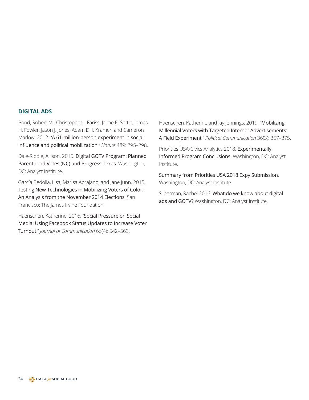#### <span id="page-25-0"></span>**DIGITAL ADS**

Bond, Robert M., Christopher J. Fariss, Jaime E. Settle, James H. Fowler, Jason J. Jones, Adam D. I. Kramer, and Cameron Marlow. 2012. "[A 61-million-person experiment in social](https://doi.org/10.1038/nature11421)  [influence and political mobilization](https://doi.org/10.1038/nature11421)." *Nature* 489: 295–298.

Dale-Riddle, Allison. 2015. [Digital GOTV Program: Planned](https://members.analystinstitute.org/research/digital-gotv-program-6211)  [Parenthood Votes \(NC\) and Progress Texas](https://members.analystinstitute.org/research/digital-gotv-program-6211). Washington, DC: Analyst Institute.

García Bedolla, Lisa, Marisa Abrajano, and Jane Junn. 2015. [Testing New Technologies in Mobilizing Voters of Color:](https://irvine-dot-org.s3.amazonaws.com/documents/193/attachments/focus-VOTE-2016MAR14.pdf?1461970269)  [An Analysis from the November 2014 Elections](https://irvine-dot-org.s3.amazonaws.com/documents/193/attachments/focus-VOTE-2016MAR14.pdf?1461970269). San Francisco: The James Irvine Foundation.

Haenschen, Katherine. 2016. "[Social Pressure on Social](https://doi.org/10.1111/jcom.12236)  [Media: Using Facebook Status Updates to Increase Voter](https://doi.org/10.1111/jcom.12236)  [Turnout](https://doi.org/10.1111/jcom.12236)." *Journal of Communication* 66(4): 542–563.

Haenschen, Katherine and Jay Jennings. 2019. "[Mobilizing](https://doi.org/10.1080/10584609.2018.1548530)  [Millennial Voters with Targeted Internet Advertisements:](https://doi.org/10.1080/10584609.2018.1548530)  [A Field Experiment](https://doi.org/10.1080/10584609.2018.1548530)." *Political Communication* 36(3): 357–375.

Priorities USA/Civics Analytics 2018. [Experimentally](https://members.analystinstitute.org/research/10519-10519)  [Informed Program Conclusions.](https://members.analystinstitute.org/research/10519-10519) Washington, DC: Analyst [Institute.](https://members.analystinstitute.org/research/10519-10519)

[Summary from Priorities USA 2018 Expy Submission](https://members.analystinstitute.org/research/10519-10519). Washington, DC: Analyst Institute.

Silberman, Rachel 2016. [What do we know about digital](https://members.analystinstitute.org/qna/know-digital-ads-gotv-8140)  [ads and GOTV?](https://members.analystinstitute.org/qna/know-digital-ads-gotv-8140) Washington, DC: Analyst Institute.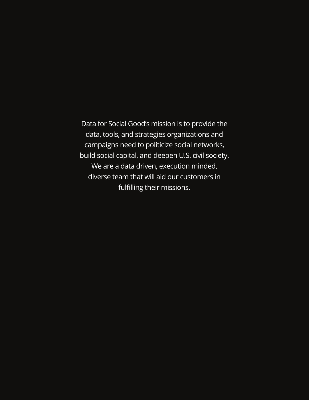Data for Social Good's mission is to provide the data, tools, and strategies organizations and campaigns need to politicize social networks, build social capital, and deepen U.S. civil society. We are a data driven, execution minded, diverse team that will aid our customers in fulfilling their missions.